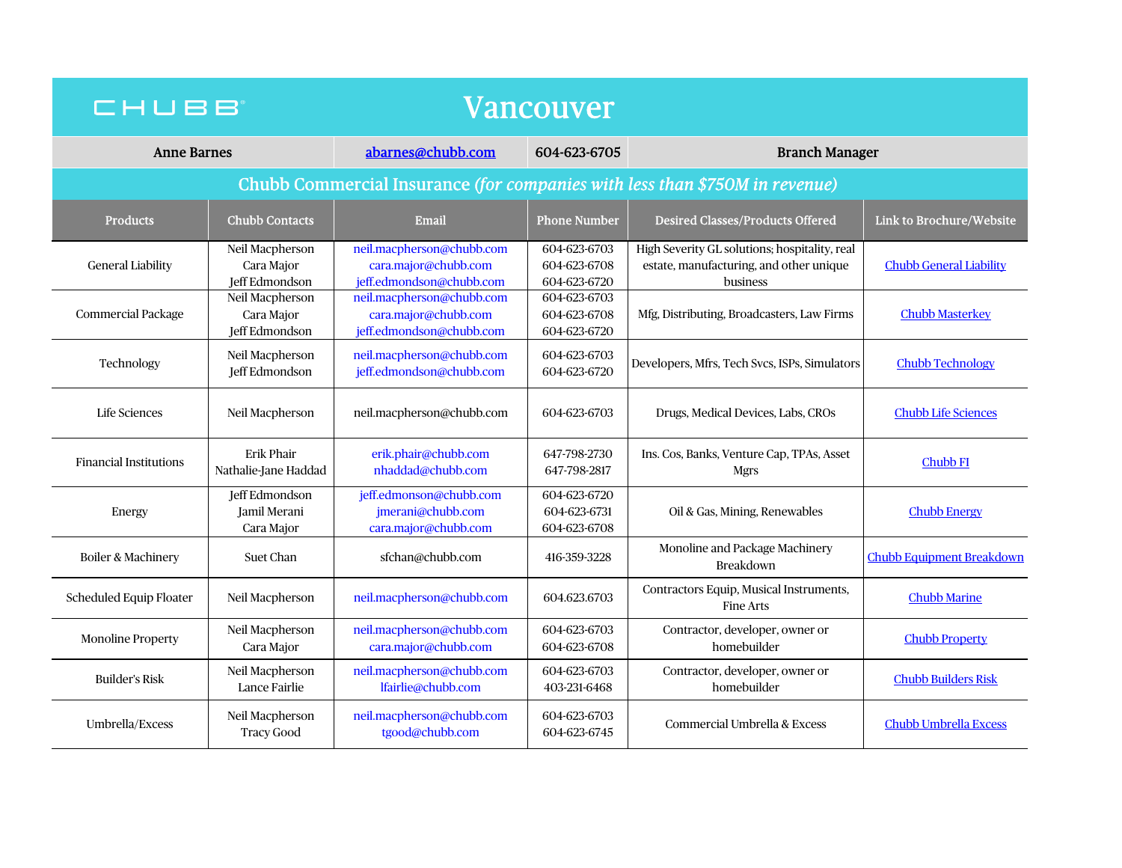| CHUBB                                                                       |                                                        | Vancouver                                                                     |                                              |                                                                                                      |                                  |
|-----------------------------------------------------------------------------|--------------------------------------------------------|-------------------------------------------------------------------------------|----------------------------------------------|------------------------------------------------------------------------------------------------------|----------------------------------|
| <b>Anne Barnes</b>                                                          |                                                        | abarnes@chubb.com                                                             | 604-623-6705                                 | <b>Branch Manager</b>                                                                                |                                  |
| Chubb Commercial Insurance (for companies with less than \$750M in revenue) |                                                        |                                                                               |                                              |                                                                                                      |                                  |
| <b>Products</b>                                                             | <b>Chubb Contacts</b>                                  | Email                                                                         | Phone Number                                 | <b>Desired Classes/Products Offered</b>                                                              | Link to Brochure/Website         |
| <b>General Liability</b>                                                    | Neil Macpherson<br>Cara Major<br><b>Jeff Edmondson</b> | neil.macpherson@chubb.com<br>cara.major@chubb.com<br>jeff.edmondson@chubb.com | 604-623-6703<br>604-623-6708<br>604-623-6720 | High Severity GL solutions; hospitality, real<br>estate, manufacturing, and other unique<br>business | <b>Chubb General Liability</b>   |
| Commercial Package                                                          | Neil Macpherson<br>Cara Major<br>Jeff Edmondson        | neil.macpherson@chubb.com<br>cara.major@chubb.com<br>jeff.edmondson@chubb.com | 604-623-6703<br>604-623-6708<br>604-623-6720 | Mfg, Distributing, Broadcasters, Law Firms                                                           | <b>Chubb Masterkey</b>           |
| Technology                                                                  | Neil Macpherson<br>Jeff Edmondson                      | neil.macpherson@chubb.com<br>jeff.edmondson@chubb.com                         | 604-623-6703<br>604-623-6720                 | Developers, Mfrs, Tech Svcs, ISPs, Simulators                                                        | <b>Chubb Technology</b>          |
| Life Sciences                                                               | Neil Macpherson                                        | neil.macpherson@chubb.com                                                     | 604-623-6703                                 | Drugs, Medical Devices, Labs, CROs                                                                   | <b>Chubb Life Sciences</b>       |
| <b>Financial Institutions</b>                                               | <b>Erik Phair</b><br>Nathalie-Jane Haddad              | erik.phair@chubb.com<br>nhaddad@chubb.com                                     | 647-798-2730<br>647-798-2817                 | Ins. Cos, Banks, Venture Cap, TPAs, Asset<br><b>Mgrs</b>                                             | <b>Chubb FI</b>                  |
| Energy                                                                      | Jeff Edmondson<br>Jamil Merani<br>Cara Major           | jeff.edmonson@chubb.com<br>jmerani@chubb.com<br>cara.major@chubb.com          | 604-623-6720<br>604-623-6731<br>604-623-6708 | Oil & Gas, Mining, Renewables                                                                        | <b>Chubb Energy</b>              |
| Boiler & Machinery                                                          | <b>Suet Chan</b>                                       | sfchan@chubb.com                                                              | 416-359-3228                                 | Monoline and Package Machinery<br><b>Breakdown</b>                                                   | <b>Chubb Equipment Breakdown</b> |
| Scheduled Equip Floater                                                     | Neil Macpherson                                        | neil.macpherson@chubb.com                                                     | 604.623.6703                                 | Contractors Equip, Musical Instruments,<br>Fine Arts                                                 | <b>Chubb Marine</b>              |
| <b>Monoline Property</b>                                                    | Neil Macpherson<br>Cara Major                          | neil.macpherson@chubb.com<br>cara.major@chubb.com                             | 604-623-6703<br>604-623-6708                 | Contractor, developer, owner or<br>homebuilder                                                       | <b>Chubb Property</b>            |
| <b>Builder's Risk</b>                                                       | Neil Macpherson<br>Lance Fairlie                       | neil.macpherson@chubb.com<br>lfairlie@chubb.com                               | 604-623-6703<br>403-231-6468                 | Contractor, developer, owner or<br>homebuilder                                                       | <b>Chubb Builders Risk</b>       |
| Umbrella/Excess                                                             | Neil Macpherson<br><b>Tracy Good</b>                   | neil.macpherson@chubb.com<br>tgood@chubb.com                                  | 604-623-6703<br>604-623-6745                 | Commercial Umbrella & Excess                                                                         | <b>Chubb Umbrella Excess</b>     |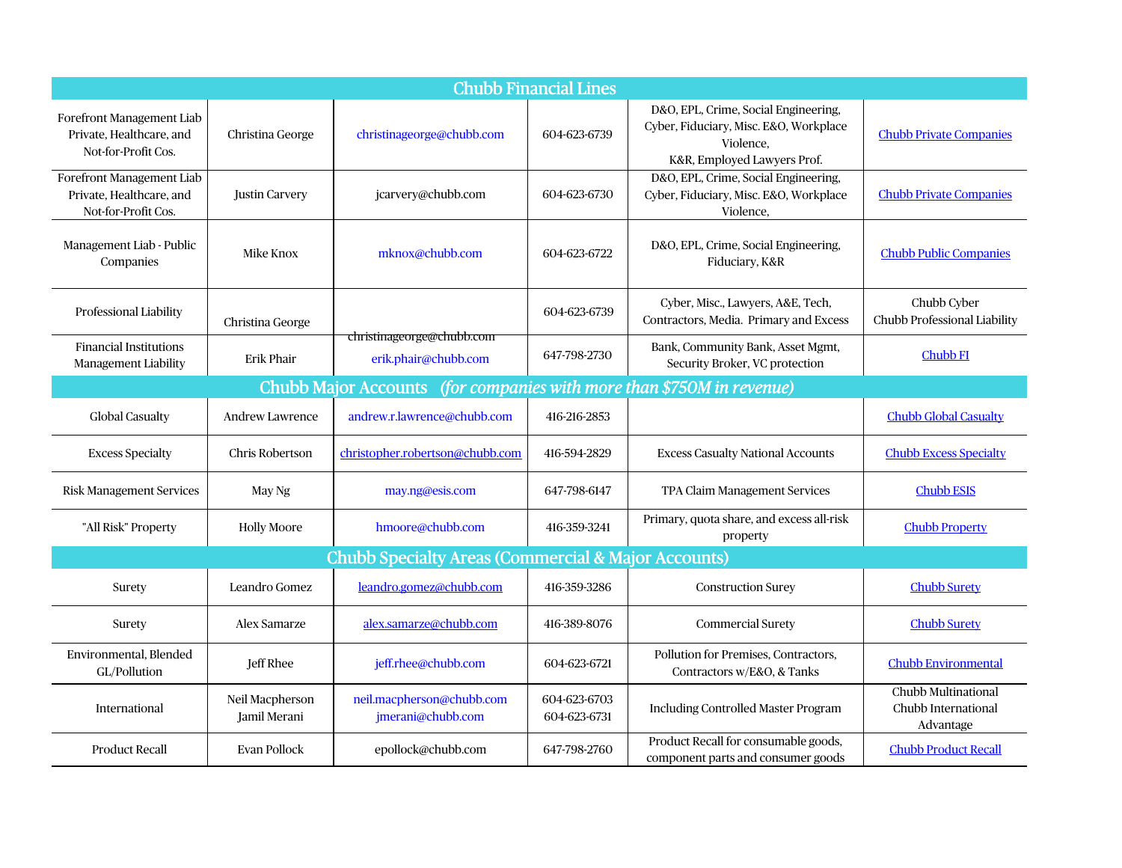| <b>Chubb Financial Lines</b>                                                 |                                 |                                                   |                              |                                                                                                                            |                                                         |  |
|------------------------------------------------------------------------------|---------------------------------|---------------------------------------------------|------------------------------|----------------------------------------------------------------------------------------------------------------------------|---------------------------------------------------------|--|
| Forefront Management Liab<br>Private. Healthcare, and<br>Not-for-Profit Cos. | Christina George                | christinageorge@chubb.com                         | 604-623-6739                 | D&O, EPL, Crime, Social Engineering,<br>Cyber, Fiduciary, Misc. E&O, Workplace<br>Violence.<br>K&R, Employed Lawyers Prof. | <b>Chubb Private Companies</b>                          |  |
| Forefront Management Liab<br>Private, Healthcare, and<br>Not-for-Profit Cos. | <b>Justin Carvery</b>           | jcarvery@chubb.com                                | 604-623-6730                 | D&O, EPL, Crime, Social Engineering,<br>Cyber, Fiduciary, Misc. E&O, Workplace<br>Violence.                                | <b>Chubb Private Companies</b>                          |  |
| Management Liab - Public<br>Companies                                        | Mike Knox                       | mknox@chubb.com                                   | 604-623-6722                 | D&O, EPL, Crime, Social Engineering,<br>Fiduciary, K&R                                                                     | <b>Chubb Public Companies</b>                           |  |
| Professional Liability                                                       | Christina George                |                                                   | 604-623-6739                 | Cyber, Misc., Lawyers, A&E, Tech,<br>Contractors, Media. Primary and Excess                                                | Chubb Cyber<br>Chubb Professional Liability             |  |
| <b>Financial Institutions</b><br><b>Management Liability</b>                 | <b>Erik Phair</b>               | christinageorge@chubb.com<br>erik.phair@chubb.com | 647-798-2730                 | Bank, Community Bank, Asset Mgmt,<br>Security Broker, VC protection                                                        | <b>Chubb FI</b>                                         |  |
| Chubb Major Accounts (for companies with more than \$750M in revenue)        |                                 |                                                   |                              |                                                                                                                            |                                                         |  |
| <b>Global Casualty</b>                                                       | <b>Andrew Lawrence</b>          | andrew.r.lawrence@chubb.com                       | 416-216-2853                 |                                                                                                                            | <b>Chubb Global Casualty</b>                            |  |
| <b>Excess Specialty</b>                                                      | Chris Robertson                 | christopher.robertson@chubb.com                   | 416-594-2829                 | <b>Excess Casualty National Accounts</b>                                                                                   | <b>Chubb Excess Specialty</b>                           |  |
| <b>Risk Management Services</b>                                              | May Ng                          | may.ng@esis.com                                   | 647-798-6147                 | TPA Claim Management Services                                                                                              | <b>Chubb ESIS</b>                                       |  |
| "All Risk" Property                                                          | <b>Holly Moore</b>              | hmoore@chubb.com                                  | 416-359-3241                 | Primary, quota share, and excess all-risk<br>property                                                                      | <b>Chubb Property</b>                                   |  |
| <b>Chubb Specialty Areas (Commercial &amp; Major Accounts)</b>               |                                 |                                                   |                              |                                                                                                                            |                                                         |  |
| Surety                                                                       | Leandro Gomez                   | leandro.gomez@chubb.com                           | 416-359-3286                 | <b>Construction Surey</b>                                                                                                  | <b>Chubb Surety</b>                                     |  |
| Surety                                                                       | Alex Samarze                    | alex.samarze@chubb.com                            | 416-389-8076                 | <b>Commercial Surety</b>                                                                                                   | <b>Chubb Surety</b>                                     |  |
| Environmental, Blended<br>GL/Pollution                                       | Jeff Rhee                       | jeff.rhee@chubb.com                               | 604-623-6721                 | Pollution for Premises, Contractors,<br>Contractors w/E&O, & Tanks                                                         | <b>Chubb Environmental</b>                              |  |
| <b>International</b>                                                         | Neil Macpherson<br>Jamil Merani | neil.macpherson@chubb.com<br>jmerani@chubb.com    | 604-623-6703<br>604-623-6731 | <b>Including Controlled Master Program</b>                                                                                 | Chubb Multinational<br>Chubb International<br>Advantage |  |
| <b>Product Recall</b>                                                        | Evan Pollock                    | epollock@chubb.com                                | 647-798-2760                 | Product Recall for consumable goods,<br>component parts and consumer goods                                                 | <b>Chubb Product Recall</b>                             |  |